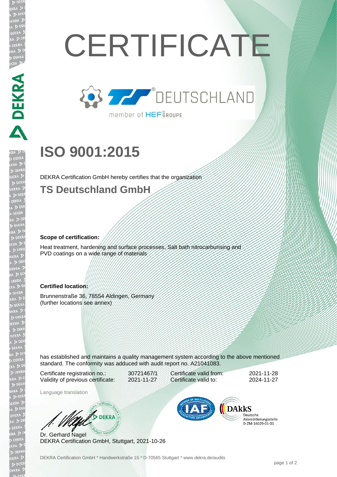# **CERTIFICATE**



# **ISO 9001:2015**

DEKRA Certification GmbH hereby certifies that the organization

### **TS Deutschland GmbH**

#### **Scope of certification:**

Heat treatment, hardening and surface processes, Salt bath nitrocarburising and PVD coatings on a wide range of materials

#### **Certified location:**

Brunnenstraße 36, 78554 Aldingen, Germany (further locations see annex)

has established and maintains a quality management system according to the above mentioned standard. The conformity was adduced with audit report no. A21041083.

Certificate registration no.: 30721467/1 Validity of previous certificate: 2021-11-27

Language translation

W/ DEKRA

Dr. Gerhard Nagel DEKRA Certification GmbH, Stuttgart, 2021-10-26



Certificate valid from: 2021-11-28 Certificate valid to: 2024-11-27

> Deutsche Akkreditierungsstelle